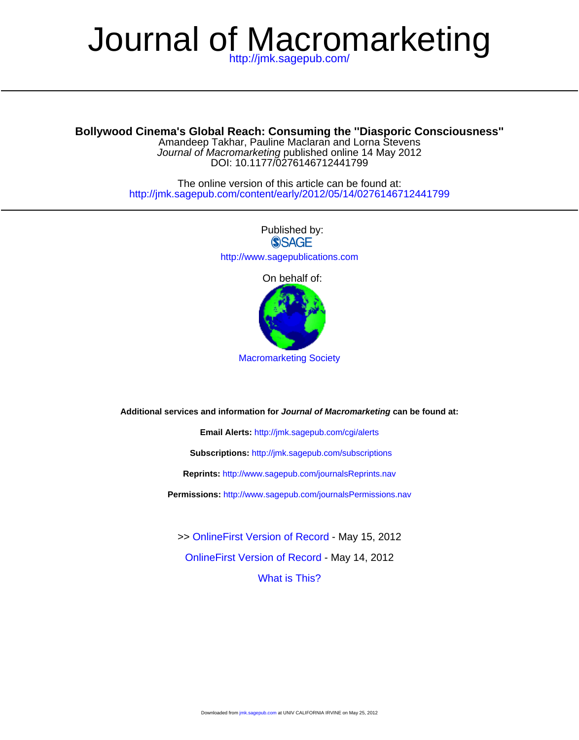# Journal of Macromarketing

# **Bollywood Cinema's Global Reach: Consuming the ''Diasporic Consciousness''**

DOI: 10.1177/0276146712441799 Journal of Macromarketing published online 14 May 2012 Amandeep Takhar, Pauline Maclaran and Lorna Stevens

<http://jmk.sagepub.com/content/early/2012/05/14/0276146712441799> The online version of this article can be found at:

> Published by:<br>
> SAGE <http://www.sagepublications.com> On behalf of:

> > [Macromarketing Society](http://www.macromarketing.org)

**Additional services and information for Journal of Macromarketing can be found at:**

**Email Alerts:** <http://jmk.sagepub.com/cgi/alerts>

**Subscriptions:** <http://jmk.sagepub.com/subscriptions>

**Reprints:** <http://www.sagepub.com/journalsReprints.nav>

**Permissions:** <http://www.sagepub.com/journalsPermissions.nav>

[What is This?](http://online.sagepub.com/site/sphelp/vorhelp.xhtml) [OnlineFirst Version of Record -](http://jmk.sagepub.com/content/early/2012/05/06/0276146712441799.full.pdf) May 14, 2012 >> [OnlineFirst Version of Record -](http://jmk.sagepub.com/content/early/2012/05/14/0276146712441799.full.pdf) May 15, 2012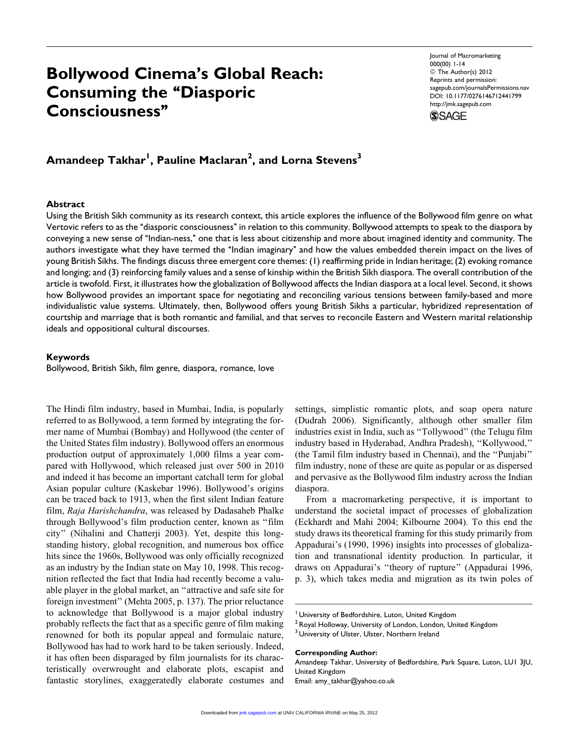# Bollywood Cinema's Global Reach: **Consuming the "Diasporic** Consciousness''

Journal of Macromarketing 000(00) 1-14 ª The Author(s) 2012 Reprints and permission: sagepub.com/journalsPermissions.nav DOI: 10.1177/0276146712441799 http://jmk.sagepub.com



Amandeep Takhar<sup>ı</sup>, Pauline Maclaran<sup>2</sup>, and Lorna Stevens<sup>3</sup>

#### **Abstract**

Using the British Sikh community as its research context, this article explores the influence of the Bollywood film genre on what Vertovic refers to as the ''diasporic consciousness'' in relation to this community. Bollywood attempts to speak to the diaspora by conveying a new sense of ''Indian-ness,'' one that is less about citizenship and more about imagined identity and community. The authors investigate what they have termed the ''Indian imaginary'' and how the values embedded therein impact on the lives of young British Sikhs. The findings discuss three emergent core themes: (1) reaffirming pride in Indian heritage; (2) evoking romance and longing; and (3) reinforcing family values and a sense of kinship within the British Sikh diaspora. The overall contribution of the article is twofold. First, it illustrates how the globalization of Bollywood affects the Indian diaspora at a local level. Second, it shows how Bollywood provides an important space for negotiating and reconciling various tensions between family-based and more individualistic value systems. Ultimately, then, Bollywood offers young British Sikhs a particular, hybridized representation of courtship and marriage that is both romantic and familial, and that serves to reconcile Eastern and Western marital relationship ideals and oppositional cultural discourses.

#### Keywords

Bollywood, British Sikh, film genre, diaspora, romance, love

The Hindi film industry, based in Mumbai, India, is popularly referred to as Bollywood, a term formed by integrating the former name of Mumbai (Bombay) and Hollywood (the center of the United States film industry). Bollywood offers an enormous production output of approximately 1,000 films a year compared with Hollywood, which released just over 500 in 2010 and indeed it has become an important catchall term for global Asian popular culture (Kaskebar 1996). Bollywood's origins can be traced back to 1913, when the first silent Indian feature film, Raja Harishchandra, was released by Dadasaheb Phalke through Bollywood's film production center, known as ''film city'' (Nihalini and Chatterji 2003). Yet, despite this longstanding history, global recognition, and numerous box office hits since the 1960s, Bollywood was only officially recognized as an industry by the Indian state on May 10, 1998. This recognition reflected the fact that India had recently become a valuable player in the global market, an ''attractive and safe site for foreign investment'' (Mehta 2005, p. 137). The prior reluctance to acknowledge that Bollywood is a major global industry probably reflects the fact that as a specific genre of film making renowned for both its popular appeal and formulaic nature, Bollywood has had to work hard to be taken seriously. Indeed, it has often been disparaged by film journalists for its characteristically overwrought and elaborate plots, escapist and fantastic storylines, exaggeratedly elaborate costumes and

settings, simplistic romantic plots, and soap opera nature (Dudrah 2006). Significantly, although other smaller film industries exist in India, such as ''Tollywood'' (the Telugu film industry based in Hyderabad, Andhra Pradesh), ''Kollywood,'' (the Tamil film industry based in Chennai), and the ''Punjabi'' film industry, none of these are quite as popular or as dispersed and pervasive as the Bollywood film industry across the Indian diaspora.

From a macromarketing perspective, it is important to understand the societal impact of processes of globalization (Eckhardt and Mahi 2004; Kilbourne 2004). To this end the study draws its theoretical framing for this study primarily from Appadurai's (1990, 1996) insights into processes of globalization and transnational identity production. In particular, it draws on Appadurai's ''theory of rupture'' (Appadurai 1996, p. 3), which takes media and migration as its twin poles of

#### Corresponding Author:

Amandeep Takhar, University of Bedfordshire, Park Square, Luton, LU1 3JU, United Kingdom

Email: amy\_takhar@yahoo.co.uk

<sup>&</sup>lt;sup>1</sup> University of Bedfordshire, Luton, United Kingdom

 $^2$  Royal Holloway, University of London, London, United Kingdom

<sup>&</sup>lt;sup>3</sup> University of Ulster, Ulster, Northern Ireland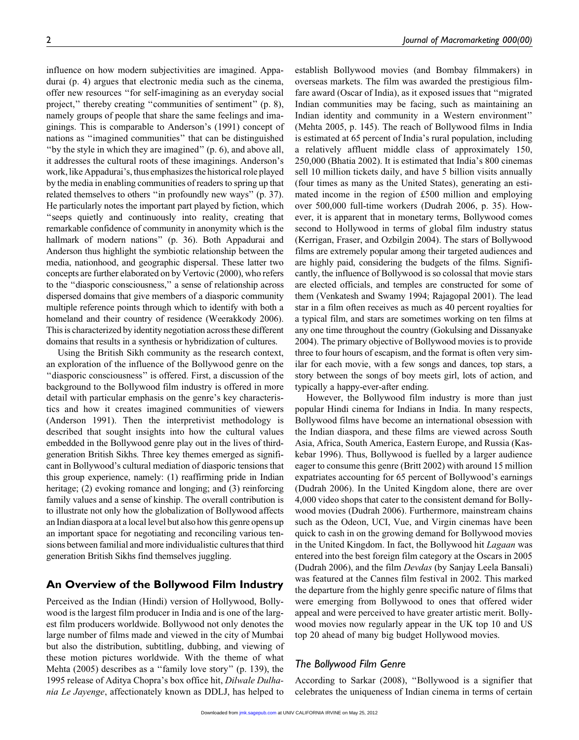influence on how modern subjectivities are imagined. Appadurai (p. 4) argues that electronic media such as the cinema, offer new resources ''for self-imagining as an everyday social project,'' thereby creating ''communities of sentiment'' (p. 8), namely groups of people that share the same feelings and imaginings. This is comparable to Anderson's (1991) concept of nations as ''imagined communities'' that can be distinguished ''by the style in which they are imagined'' (p. 6), and above all, it addresses the cultural roots of these imaginings. Anderson's work, like Appadurai's, thus emphasizes the historical role played by the media in enabling communities of readers to spring up that related themselves to others ''in profoundly new ways'' (p. 37). He particularly notes the important part played by fiction, which ''seeps quietly and continuously into reality, creating that remarkable confidence of community in anonymity which is the hallmark of modern nations" (p. 36). Both Appadurai and Anderson thus highlight the symbiotic relationship between the media, nationhood, and geographic dispersal. These latter two concepts are further elaborated on by Vertovic (2000), who refers to the ''diasporic consciousness,'' a sense of relationship across dispersed domains that give members of a diasporic community multiple reference points through which to identify with both a homeland and their country of residence (Weerakkody 2006). This is characterized by identity negotiation across these different domains that results in a synthesis or hybridization of cultures.

Using the British Sikh community as the research context, an exploration of the influence of the Bollywood genre on the ''diasporic consciousness'' is offered. First, a discussion of the background to the Bollywood film industry is offered in more detail with particular emphasis on the genre's key characteristics and how it creates imagined communities of viewers (Anderson 1991). Then the interpretivist methodology is described that sought insights into how the cultural values embedded in the Bollywood genre play out in the lives of thirdgeneration British Sikhs. Three key themes emerged as significant in Bollywood's cultural mediation of diasporic tensions that this group experience, namely: (1) reaffirming pride in Indian heritage; (2) evoking romance and longing; and (3) reinforcing family values and a sense of kinship. The overall contribution is to illustrate not only how the globalization of Bollywood affects an Indian diaspora at a local level but also how this genre opens up an important space for negotiating and reconciling various tensions between familial and more individualistic cultures that third generation British Sikhs find themselves juggling.

# An Overview of the Bollywood Film Industry

Perceived as the Indian (Hindi) version of Hollywood, Bollywood is the largest film producer in India and is one of the largest film producers worldwide. Bollywood not only denotes the large number of films made and viewed in the city of Mumbai but also the distribution, subtitling, dubbing, and viewing of these motion pictures worldwide. With the theme of what Mehta (2005) describes as a ''family love story'' (p. 139), the 1995 release of Aditya Chopra's box office hit, Dilwale Dulhania Le Jayenge, affectionately known as DDLJ, has helped to

establish Bollywood movies (and Bombay filmmakers) in overseas markets. The film was awarded the prestigious filmfare award (Oscar of India), as it exposed issues that ''migrated Indian communities may be facing, such as maintaining an Indian identity and community in a Western environment'' (Mehta 2005, p. 145). The reach of Bollywood films in India is estimated at 65 percent of India's rural population, including a relatively affluent middle class of approximately 150, 250,000 (Bhatia 2002). It is estimated that India's 800 cinemas sell 10 million tickets daily, and have 5 billion visits annually (four times as many as the United States), generating an estimated income in the region of £500 million and employing over 500,000 full-time workers (Dudrah 2006, p. 35). However, it is apparent that in monetary terms, Bollywood comes second to Hollywood in terms of global film industry status (Kerrigan, Fraser, and Ozbilgin 2004). The stars of Bollywood films are extremely popular among their targeted audiences and are highly paid, considering the budgets of the films. Significantly, the influence of Bollywood is so colossal that movie stars are elected officials, and temples are constructed for some of them (Venkatesh and Swamy 1994; Rajagopal 2001). The lead star in a film often receives as much as 40 percent royalties for a typical film, and stars are sometimes working on ten films at any one time throughout the country (Gokulsing and Dissanyake 2004). The primary objective of Bollywood movies is to provide three to four hours of escapism, and the format is often very similar for each movie, with a few songs and dances, top stars, a story between the songs of boy meets girl, lots of action, and typically a happy-ever-after ending.

However, the Bollywood film industry is more than just popular Hindi cinema for Indians in India. In many respects, Bollywood films have become an international obsession with the Indian diaspora, and these films are viewed across South Asia, Africa, South America, Eastern Europe, and Russia (Kaskebar 1996). Thus, Bollywood is fuelled by a larger audience eager to consume this genre (Britt 2002) with around 15 million expatriates accounting for 65 percent of Bollywood's earnings (Dudrah 2006). In the United Kingdom alone, there are over 4,000 video shops that cater to the consistent demand for Bollywood movies (Dudrah 2006). Furthermore, mainstream chains such as the Odeon, UCI, Vue, and Virgin cinemas have been quick to cash in on the growing demand for Bollywood movies in the United Kingdom. In fact, the Bollywood hit Lagaan was entered into the best foreign film category at the Oscars in 2005 (Dudrah 2006), and the film Devdas (by Sanjay Leela Bansali) was featured at the Cannes film festival in 2002. This marked the departure from the highly genre specific nature of films that were emerging from Bollywood to ones that offered wider appeal and were perceived to have greater artistic merit. Bollywood movies now regularly appear in the UK top 10 and US top 20 ahead of many big budget Hollywood movies.

### The Bollywood Film Genre

According to Sarkar (2008), ''Bollywood is a signifier that celebrates the uniqueness of Indian cinema in terms of certain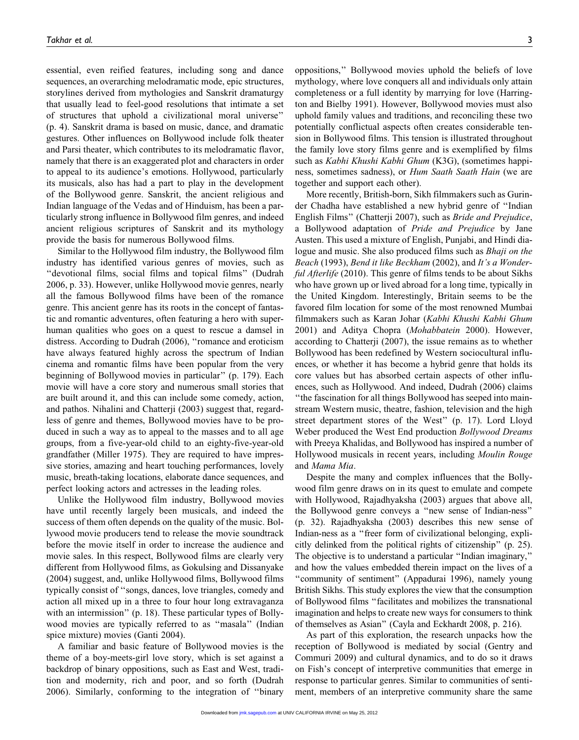essential, even reified features, including song and dance sequences, an overarching melodramatic mode, epic structures, storylines derived from mythologies and Sanskrit dramaturgy that usually lead to feel-good resolutions that intimate a set of structures that uphold a civilizational moral universe'' (p. 4). Sanskrit drama is based on music, dance, and dramatic gestures. Other influences on Bollywood include folk theater and Parsi theater, which contributes to its melodramatic flavor, namely that there is an exaggerated plot and characters in order to appeal to its audience's emotions. Hollywood, particularly its musicals, also has had a part to play in the development of the Bollywood genre. Sanskrit, the ancient religious and Indian language of the Vedas and of Hinduism, has been a particularly strong influence in Bollywood film genres, and indeed ancient religious scriptures of Sanskrit and its mythology provide the basis for numerous Bollywood films.

Similar to the Hollywood film industry, the Bollywood film industry has identified various genres of movies, such as ''devotional films, social films and topical films'' (Dudrah 2006, p. 33). However, unlike Hollywood movie genres, nearly all the famous Bollywood films have been of the romance genre. This ancient genre has its roots in the concept of fantastic and romantic adventures, often featuring a hero with superhuman qualities who goes on a quest to rescue a damsel in distress. According to Dudrah (2006), ''romance and eroticism have always featured highly across the spectrum of Indian cinema and romantic films have been popular from the very beginning of Bollywood movies in particular'' (p. 179). Each movie will have a core story and numerous small stories that are built around it, and this can include some comedy, action, and pathos. Nihalini and Chatterji (2003) suggest that, regardless of genre and themes, Bollywood movies have to be produced in such a way as to appeal to the masses and to all age groups, from a five-year-old child to an eighty-five-year-old grandfather (Miller 1975). They are required to have impressive stories, amazing and heart touching performances, lovely music, breath-taking locations, elaborate dance sequences, and perfect looking actors and actresses in the leading roles.

Unlike the Hollywood film industry, Bollywood movies have until recently largely been musicals, and indeed the success of them often depends on the quality of the music. Bollywood movie producers tend to release the movie soundtrack before the movie itself in order to increase the audience and movie sales. In this respect, Bollywood films are clearly very different from Hollywood films, as Gokulsing and Dissanyake (2004) suggest, and, unlike Hollywood films, Bollywood films typically consist of ''songs, dances, love triangles, comedy and action all mixed up in a three to four hour long extravaganza with an intermission" (p. 18). These particular types of Bollywood movies are typically referred to as ''masala'' (Indian spice mixture) movies (Ganti 2004).

A familiar and basic feature of Bollywood movies is the theme of a boy-meets-girl love story, which is set against a backdrop of binary oppositions, such as East and West, tradition and modernity, rich and poor, and so forth (Dudrah 2006). Similarly, conforming to the integration of ''binary

oppositions,'' Bollywood movies uphold the beliefs of love mythology, where love conquers all and individuals only attain completeness or a full identity by marrying for love (Harrington and Bielby 1991). However, Bollywood movies must also uphold family values and traditions, and reconciling these two potentially conflictual aspects often creates considerable tension in Bollywood films. This tension is illustrated throughout the family love story films genre and is exemplified by films such as Kabhi Khushi Kabhi Ghum (K3G), (sometimes happiness, sometimes sadness), or Hum Saath Saath Hain (we are together and support each other).

More recently, British-born, Sikh filmmakers such as Gurinder Chadha have established a new hybrid genre of ''Indian English Films'' (Chatterji 2007), such as Bride and Prejudice, a Bollywood adaptation of Pride and Prejudice by Jane Austen. This used a mixture of English, Punjabi, and Hindi dialogue and music. She also produced films such as Bhaji on the Beach (1993), Bend it like Beckham (2002), and It's a Wonderful Afterlife (2010). This genre of films tends to be about Sikhs who have grown up or lived abroad for a long time, typically in the United Kingdom. Interestingly, Britain seems to be the favored film location for some of the most renowned Mumbai filmmakers such as Karan Johar (Kabhi Khushi Kabhi Ghum 2001) and Aditya Chopra (Mohabbatein 2000). However, according to Chatterji (2007), the issue remains as to whether Bollywood has been redefined by Western sociocultural influences, or whether it has become a hybrid genre that holds its core values but has absorbed certain aspects of other influences, such as Hollywood. And indeed, Dudrah (2006) claims ''the fascination for all things Bollywood has seeped into mainstream Western music, theatre, fashion, television and the high street department stores of the West'' (p. 17). Lord Lloyd Weber produced the West End production Bollywood Dreams with Preeya Khalidas, and Bollywood has inspired a number of Hollywood musicals in recent years, including Moulin Rouge and Mama Mia.

Despite the many and complex influences that the Bollywood film genre draws on in its quest to emulate and compete with Hollywood, Rajadhyaksha (2003) argues that above all, the Bollywood genre conveys a ''new sense of Indian-ness'' (p. 32). Rajadhyaksha (2003) describes this new sense of Indian-ness as a ''freer form of civilizational belonging, explicitly delinked from the political rights of citizenship'' (p. 25). The objective is to understand a particular ''Indian imaginary,'' and how the values embedded therein impact on the lives of a ''community of sentiment'' (Appadurai 1996), namely young British Sikhs. This study explores the view that the consumption of Bollywood films ''facilitates and mobilizes the transnational imagination and helps to create new ways for consumers to think of themselves as Asian'' (Cayla and Eckhardt 2008, p. 216).

As part of this exploration, the research unpacks how the reception of Bollywood is mediated by social (Gentry and Commuri 2009) and cultural dynamics, and to do so it draws on Fish's concept of interpretive communities that emerge in response to particular genres. Similar to communities of sentiment, members of an interpretive community share the same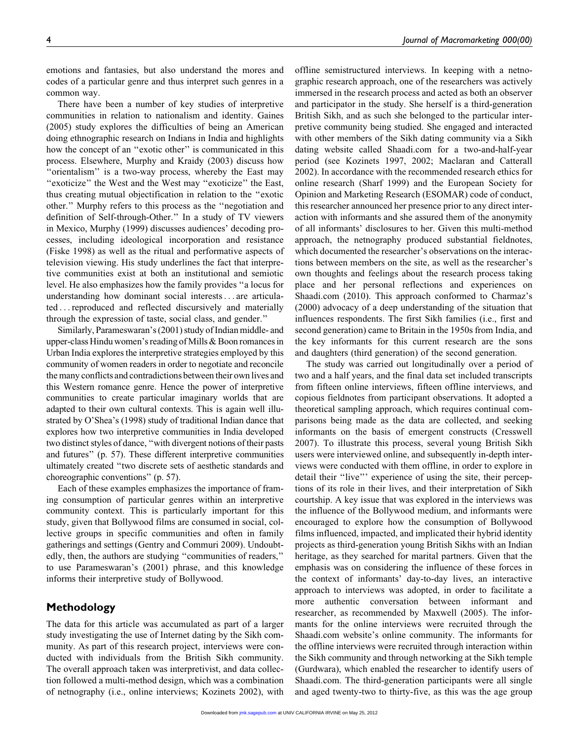emotions and fantasies, but also understand the mores and codes of a particular genre and thus interpret such genres in a common way.

There have been a number of key studies of interpretive communities in relation to nationalism and identity. Gaines (2005) study explores the difficulties of being an American doing ethnographic research on Indians in India and highlights how the concept of an "exotic other" is communicated in this process. Elsewhere, Murphy and Kraidy (2003) discuss how "orientalism" is a two-way process, whereby the East may "exoticize" the West and the West may "exoticize" the East, thus creating mutual objectification in relation to the ''exotic other.'' Murphy refers to this process as the ''negotiation and definition of Self-through-Other.'' In a study of TV viewers in Mexico, Murphy (1999) discusses audiences' decoding processes, including ideological incorporation and resistance (Fiske 1998) as well as the ritual and performative aspects of television viewing. His study underlines the fact that interpretive communities exist at both an institutional and semiotic level. He also emphasizes how the family provides ''a locus for understanding how dominant social interests... are articulated ... reproduced and reflected discursively and materially through the expression of taste, social class, and gender.''

Similarly, Parameswaran's (2001) study of Indian middle- and upper-class Hindu women's reading ofMills & Boon romances in Urban India explores the interpretive strategies employed by this community of women readers in order to negotiate and reconcile the many conflicts and contradictions between their own lives and this Western romance genre. Hence the power of interpretive communities to create particular imaginary worlds that are adapted to their own cultural contexts. This is again well illustrated by O'Shea's (1998) study of traditional Indian dance that explores how two interpretive communities in India developed two distinct styles of dance, ''with divergent notions of their pasts and futures'' (p. 57). These different interpretive communities ultimately created ''two discrete sets of aesthetic standards and choreographic conventions'' (p. 57).

Each of these examples emphasizes the importance of framing consumption of particular genres within an interpretive community context. This is particularly important for this study, given that Bollywood films are consumed in social, collective groups in specific communities and often in family gatherings and settings (Gentry and Commuri 2009). Undoubtedly, then, the authors are studying ''communities of readers,'' to use Parameswaran's (2001) phrase, and this knowledge informs their interpretive study of Bollywood.

# Methodology

The data for this article was accumulated as part of a larger study investigating the use of Internet dating by the Sikh community. As part of this research project, interviews were conducted with individuals from the British Sikh community. The overall approach taken was interpretivist, and data collection followed a multi-method design, which was a combination of netnography (i.e., online interviews; Kozinets 2002), with offline semistructured interviews. In keeping with a netnographic research approach, one of the researchers was actively immersed in the research process and acted as both an observer and participator in the study. She herself is a third-generation British Sikh, and as such she belonged to the particular interpretive community being studied. She engaged and interacted with other members of the Sikh dating community via a Sikh dating website called Shaadi.com for a two-and-half-year period (see Kozinets 1997, 2002; Maclaran and Catterall 2002). In accordance with the recommended research ethics for online research (Sharf 1999) and the European Society for Opinion and Marketing Research (ESOMAR) code of conduct, this researcher announced her presence prior to any direct interaction with informants and she assured them of the anonymity of all informants' disclosures to her. Given this multi-method approach, the netnography produced substantial fieldnotes, which documented the researcher's observations on the interactions between members on the site, as well as the researcher's own thoughts and feelings about the research process taking place and her personal reflections and experiences on Shaadi.com (2010). This approach conformed to Charmaz's (2000) advocacy of a deep understanding of the situation that influences respondents. The first Sikh families (i.e., first and second generation) came to Britain in the 1950s from India, and the key informants for this current research are the sons and daughters (third generation) of the second generation.

The study was carried out longitudinally over a period of two and a half years, and the final data set included transcripts from fifteen online interviews, fifteen offline interviews, and copious fieldnotes from participant observations. It adopted a theoretical sampling approach, which requires continual comparisons being made as the data are collected, and seeking informants on the basis of emergent constructs (Cresswell 2007). To illustrate this process, several young British Sikh users were interviewed online, and subsequently in-depth interviews were conducted with them offline, in order to explore in detail their "live"' experience of using the site, their perceptions of its role in their lives, and their interpretation of Sikh courtship. A key issue that was explored in the interviews was the influence of the Bollywood medium, and informants were encouraged to explore how the consumption of Bollywood films influenced, impacted, and implicated their hybrid identity projects as third-generation young British Sikhs with an Indian heritage, as they searched for marital partners. Given that the emphasis was on considering the influence of these forces in the context of informants' day-to-day lives, an interactive approach to interviews was adopted, in order to facilitate a more authentic conversation between informant and researcher, as recommended by Maxwell (2005). The informants for the online interviews were recruited through the Shaadi.com website's online community. The informants for the offline interviews were recruited through interaction within the Sikh community and through networking at the Sikh temple (Gurdwara), which enabled the researcher to identify users of Shaadi.com. The third-generation participants were all single and aged twenty-two to thirty-five, as this was the age group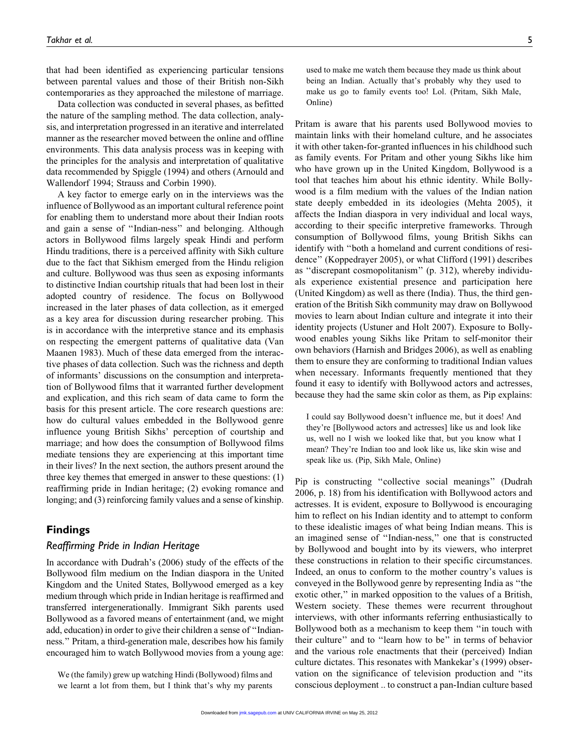that had been identified as experiencing particular tensions between parental values and those of their British non-Sikh contemporaries as they approached the milestone of marriage.

Data collection was conducted in several phases, as befitted the nature of the sampling method. The data collection, analysis, and interpretation progressed in an iterative and interrelated manner as the researcher moved between the online and offline environments. This data analysis process was in keeping with the principles for the analysis and interpretation of qualitative data recommended by Spiggle (1994) and others (Arnould and Wallendorf 1994; Strauss and Corbin 1990).

A key factor to emerge early on in the interviews was the influence of Bollywood as an important cultural reference point for enabling them to understand more about their Indian roots and gain a sense of ''Indian-ness'' and belonging. Although actors in Bollywood films largely speak Hindi and perform Hindu traditions, there is a perceived affinity with Sikh culture due to the fact that Sikhism emerged from the Hindu religion and culture. Bollywood was thus seen as exposing informants to distinctive Indian courtship rituals that had been lost in their adopted country of residence. The focus on Bollywood increased in the later phases of data collection, as it emerged as a key area for discussion during researcher probing. This is in accordance with the interpretive stance and its emphasis on respecting the emergent patterns of qualitative data (Van Maanen 1983). Much of these data emerged from the interactive phases of data collection. Such was the richness and depth of informants' discussions on the consumption and interpretation of Bollywood films that it warranted further development and explication, and this rich seam of data came to form the basis for this present article. The core research questions are: how do cultural values embedded in the Bollywood genre influence young British Sikhs' perception of courtship and marriage; and how does the consumption of Bollywood films mediate tensions they are experiencing at this important time in their lives? In the next section, the authors present around the three key themes that emerged in answer to these questions: (1) reaffirming pride in Indian heritage; (2) evoking romance and longing; and (3) reinforcing family values and a sense of kinship.

# Findings

#### Reaffirming Pride in Indian Heritage

In accordance with Dudrah's (2006) study of the effects of the Bollywood film medium on the Indian diaspora in the United Kingdom and the United States, Bollywood emerged as a key medium through which pride in Indian heritage is reaffirmed and transferred intergenerationally. Immigrant Sikh parents used Bollywood as a favored means of entertainment (and, we might add, education) in order to give their children a sense of ''Indianness.'' Pritam, a third-generation male, describes how his family encouraged him to watch Bollywood movies from a young age:

We (the family) grew up watching Hindi (Bollywood) films and we learnt a lot from them, but I think that's why my parents

used to make me watch them because they made us think about being an Indian. Actually that's probably why they used to make us go to family events too! Lol. (Pritam, Sikh Male, Online)

Pritam is aware that his parents used Bollywood movies to maintain links with their homeland culture, and he associates it with other taken-for-granted influences in his childhood such as family events. For Pritam and other young Sikhs like him who have grown up in the United Kingdom, Bollywood is a tool that teaches him about his ethnic identity. While Bollywood is a film medium with the values of the Indian nation state deeply embedded in its ideologies (Mehta 2005), it affects the Indian diaspora in very individual and local ways, according to their specific interpretive frameworks. Through consumption of Bollywood films, young British Sikhs can identify with ''both a homeland and current conditions of residence'' (Koppedrayer 2005), or what Clifford (1991) describes as ''discrepant cosmopolitanism'' (p. 312), whereby individuals experience existential presence and participation here (United Kingdom) as well as there (India). Thus, the third generation of the British Sikh community may draw on Bollywood movies to learn about Indian culture and integrate it into their identity projects (Ustuner and Holt 2007). Exposure to Bollywood enables young Sikhs like Pritam to self-monitor their own behaviors (Harnish and Bridges 2006), as well as enabling them to ensure they are conforming to traditional Indian values when necessary. Informants frequently mentioned that they found it easy to identify with Bollywood actors and actresses, because they had the same skin color as them, as Pip explains:

I could say Bollywood doesn't influence me, but it does! And they're [Bollywood actors and actresses] like us and look like us, well no I wish we looked like that, but you know what I mean? They're Indian too and look like us, like skin wise and speak like us. (Pip, Sikh Male, Online)

Pip is constructing ''collective social meanings'' (Dudrah 2006, p. 18) from his identification with Bollywood actors and actresses. It is evident, exposure to Bollywood is encouraging him to reflect on his Indian identity and to attempt to conform to these idealistic images of what being Indian means. This is an imagined sense of ''Indian-ness,'' one that is constructed by Bollywood and bought into by its viewers, who interpret these constructions in relation to their specific circumstances. Indeed, an onus to conform to the mother country's values is conveyed in the Bollywood genre by representing India as ''the exotic other,'' in marked opposition to the values of a British, Western society. These themes were recurrent throughout interviews, with other informants referring enthusiastically to Bollywood both as a mechanism to keep them ''in touch with their culture'' and to ''learn how to be'' in terms of behavior and the various role enactments that their (perceived) Indian culture dictates. This resonates with Mankekar's (1999) observation on the significance of television production and ''its conscious deployment .. to construct a pan-Indian culture based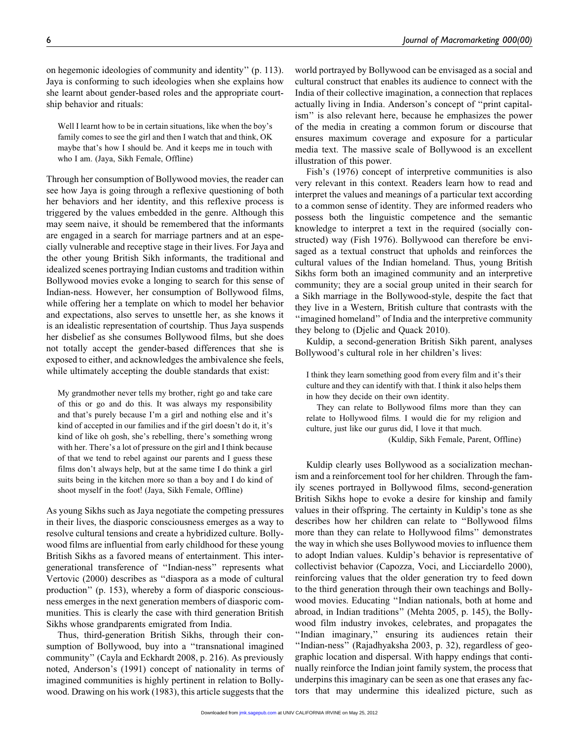on hegemonic ideologies of community and identity'' (p. 113). Jaya is conforming to such ideologies when she explains how she learnt about gender-based roles and the appropriate courtship behavior and rituals:

Well I learnt how to be in certain situations, like when the boy's family comes to see the girl and then I watch that and think, OK maybe that's how I should be. And it keeps me in touch with who I am. (Jaya, Sikh Female, Offline)

Through her consumption of Bollywood movies, the reader can see how Jaya is going through a reflexive questioning of both her behaviors and her identity, and this reflexive process is triggered by the values embedded in the genre. Although this may seem naive, it should be remembered that the informants are engaged in a search for marriage partners and at an especially vulnerable and receptive stage in their lives. For Jaya and the other young British Sikh informants, the traditional and idealized scenes portraying Indian customs and tradition within Bollywood movies evoke a longing to search for this sense of Indian-ness. However, her consumption of Bollywood films, while offering her a template on which to model her behavior and expectations, also serves to unsettle her, as she knows it is an idealistic representation of courtship. Thus Jaya suspends her disbelief as she consumes Bollywood films, but she does not totally accept the gender-based differences that she is exposed to either, and acknowledges the ambivalence she feels, while ultimately accepting the double standards that exist:

My grandmother never tells my brother, right go and take care of this or go and do this. It was always my responsibility and that's purely because I'm a girl and nothing else and it's kind of accepted in our families and if the girl doesn't do it, it's kind of like oh gosh, she's rebelling, there's something wrong with her. There's a lot of pressure on the girl and I think because of that we tend to rebel against our parents and I guess these films don't always help, but at the same time I do think a girl suits being in the kitchen more so than a boy and I do kind of shoot myself in the foot! (Jaya, Sikh Female, Offline)

As young Sikhs such as Jaya negotiate the competing pressures in their lives, the diasporic consciousness emerges as a way to resolve cultural tensions and create a hybridized culture. Bollywood films are influential from early childhood for these young British Sikhs as a favored means of entertainment. This intergenerational transference of ''Indian-ness'' represents what Vertovic (2000) describes as ''diaspora as a mode of cultural production'' (p. 153), whereby a form of diasporic consciousness emerges in the next generation members of diasporic communities. This is clearly the case with third generation British Sikhs whose grandparents emigrated from India.

Thus, third-generation British Sikhs, through their consumption of Bollywood, buy into a "transnational imagined community'' (Cayla and Eckhardt 2008, p. 216). As previously noted, Anderson's (1991) concept of nationality in terms of imagined communities is highly pertinent in relation to Bollywood. Drawing on his work (1983), this article suggests that the

world portrayed by Bollywood can be envisaged as a social and cultural construct that enables its audience to connect with the India of their collective imagination, a connection that replaces actually living in India. Anderson's concept of ''print capitalism'' is also relevant here, because he emphasizes the power of the media in creating a common forum or discourse that ensures maximum coverage and exposure for a particular media text. The massive scale of Bollywood is an excellent illustration of this power.

Fish's (1976) concept of interpretive communities is also very relevant in this context. Readers learn how to read and interpret the values and meanings of a particular text according to a common sense of identity. They are informed readers who possess both the linguistic competence and the semantic knowledge to interpret a text in the required (socially constructed) way (Fish 1976). Bollywood can therefore be envisaged as a textual construct that upholds and reinforces the cultural values of the Indian homeland. Thus, young British Sikhs form both an imagined community and an interpretive community; they are a social group united in their search for a Sikh marriage in the Bollywood-style, despite the fact that they live in a Western, British culture that contrasts with the ''imagined homeland'' of India and the interpretive community they belong to (Djelic and Quack 2010).

Kuldip, a second-generation British Sikh parent, analyses Bollywood's cultural role in her children's lives:

I think they learn something good from every film and it's their culture and they can identify with that. I think it also helps them in how they decide on their own identity.

They can relate to Bollywood films more than they can relate to Hollywood films. I would die for my religion and culture, just like our gurus did, I love it that much.

(Kuldip, Sikh Female, Parent, Offline)

Kuldip clearly uses Bollywood as a socialization mechanism and a reinforcement tool for her children. Through the family scenes portrayed in Bollywood films, second-generation British Sikhs hope to evoke a desire for kinship and family values in their offspring. The certainty in Kuldip's tone as she describes how her children can relate to ''Bollywood films more than they can relate to Hollywood films'' demonstrates the way in which she uses Bollywood movies to influence them to adopt Indian values. Kuldip's behavior is representative of collectivist behavior (Capozza, Voci, and Licciardello 2000), reinforcing values that the older generation try to feed down to the third generation through their own teachings and Bollywood movies. Educating ''Indian nationals, both at home and abroad, in Indian traditions'' (Mehta 2005, p. 145), the Bollywood film industry invokes, celebrates, and propagates the ''Indian imaginary,'' ensuring its audiences retain their ''Indian-ness'' (Rajadhyaksha 2003, p. 32), regardless of geographic location and dispersal. With happy endings that continually reinforce the Indian joint family system, the process that underpins this imaginary can be seen as one that erases any factors that may undermine this idealized picture, such as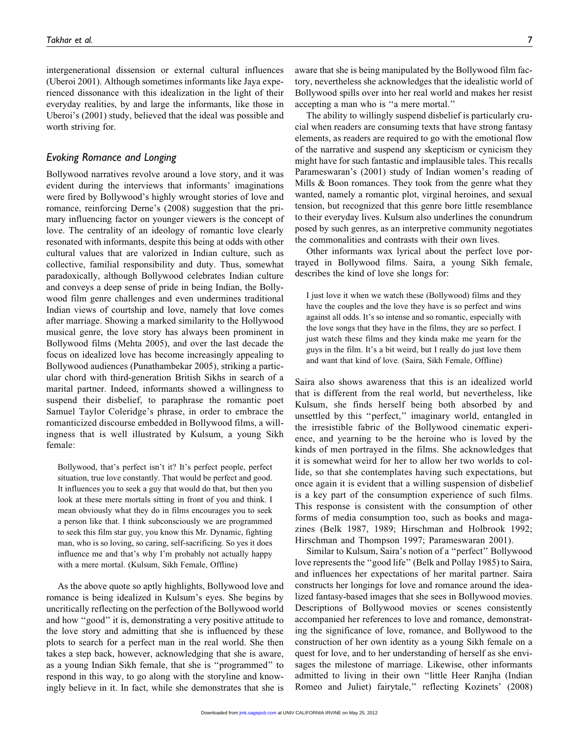intergenerational dissension or external cultural influences (Uberoi 2001). Although sometimes informants like Jaya experienced dissonance with this idealization in the light of their everyday realities, by and large the informants, like those in Uberoi's (2001) study, believed that the ideal was possible and worth striving for.

#### Evoking Romance and Longing

Bollywood narratives revolve around a love story, and it was evident during the interviews that informants' imaginations were fired by Bollywood's highly wrought stories of love and romance, reinforcing Derne's (2008) suggestion that the primary influencing factor on younger viewers is the concept of love. The centrality of an ideology of romantic love clearly resonated with informants, despite this being at odds with other cultural values that are valorized in Indian culture, such as collective, familial responsibility and duty. Thus, somewhat paradoxically, although Bollywood celebrates Indian culture and conveys a deep sense of pride in being Indian, the Bollywood film genre challenges and even undermines traditional Indian views of courtship and love, namely that love comes after marriage. Showing a marked similarity to the Hollywood musical genre, the love story has always been prominent in Bollywood films (Mehta 2005), and over the last decade the focus on idealized love has become increasingly appealing to Bollywood audiences (Punathambekar 2005), striking a particular chord with third-generation British Sikhs in search of a marital partner. Indeed, informants showed a willingness to suspend their disbelief, to paraphrase the romantic poet Samuel Taylor Coleridge's phrase, in order to embrace the romanticized discourse embedded in Bollywood films, a willingness that is well illustrated by Kulsum, a young Sikh female:

Bollywood, that's perfect isn't it? It's perfect people, perfect situation, true love constantly. That would be perfect and good. It influences you to seek a guy that would do that, but then you look at these mere mortals sitting in front of you and think. I mean obviously what they do in films encourages you to seek a person like that. I think subconsciously we are programmed to seek this film star guy, you know this Mr. Dynamic, fighting man, who is so loving, so caring, self-sacrificing. So yes it does influence me and that's why I'm probably not actually happy with a mere mortal. (Kulsum, Sikh Female, Offline)

As the above quote so aptly highlights, Bollywood love and romance is being idealized in Kulsum's eyes. She begins by uncritically reflecting on the perfection of the Bollywood world and how ''good'' it is, demonstrating a very positive attitude to the love story and admitting that she is influenced by these plots to search for a perfect man in the real world. She then takes a step back, however, acknowledging that she is aware, as a young Indian Sikh female, that she is ''programmed'' to respond in this way, to go along with the storyline and knowingly believe in it. In fact, while she demonstrates that she is aware that she is being manipulated by the Bollywood film factory, nevertheless she acknowledges that the idealistic world of Bollywood spills over into her real world and makes her resist accepting a man who is ''a mere mortal.''

The ability to willingly suspend disbelief is particularly crucial when readers are consuming texts that have strong fantasy elements, as readers are required to go with the emotional flow of the narrative and suspend any skepticism or cynicism they might have for such fantastic and implausible tales. This recalls Parameswaran's (2001) study of Indian women's reading of Mills & Boon romances. They took from the genre what they wanted, namely a romantic plot, virginal heroines, and sexual tension, but recognized that this genre bore little resemblance to their everyday lives. Kulsum also underlines the conundrum posed by such genres, as an interpretive community negotiates the commonalities and contrasts with their own lives.

Other informants wax lyrical about the perfect love portrayed in Bollywood films. Saira, a young Sikh female, describes the kind of love she longs for:

I just love it when we watch these (Bollywood) films and they have the couples and the love they have is so perfect and wins against all odds. It's so intense and so romantic, especially with the love songs that they have in the films, they are so perfect. I just watch these films and they kinda make me yearn for the guys in the film. It's a bit weird, but I really do just love them and want that kind of love. (Saira, Sikh Female, Offline)

Saira also shows awareness that this is an idealized world that is different from the real world, but nevertheless, like Kulsum, she finds herself being both absorbed by and unsettled by this ''perfect,'' imaginary world, entangled in the irresistible fabric of the Bollywood cinematic experience, and yearning to be the heroine who is loved by the kinds of men portrayed in the films. She acknowledges that it is somewhat weird for her to allow her two worlds to collide, so that she contemplates having such expectations, but once again it is evident that a willing suspension of disbelief is a key part of the consumption experience of such films. This response is consistent with the consumption of other forms of media consumption too, such as books and magazines (Belk 1987, 1989; Hirschman and Holbrook 1992; Hirschman and Thompson 1997; Parameswaran 2001).

Similar to Kulsum, Saira's notion of a ''perfect'' Bollywood love represents the ''good life'' (Belk and Pollay 1985) to Saira, and influences her expectations of her marital partner. Saira constructs her longings for love and romance around the idealized fantasy-based images that she sees in Bollywood movies. Descriptions of Bollywood movies or scenes consistently accompanied her references to love and romance, demonstrating the significance of love, romance, and Bollywood to the construction of her own identity as a young Sikh female on a quest for love, and to her understanding of herself as she envisages the milestone of marriage. Likewise, other informants admitted to living in their own ''little Heer Ranjha (Indian Romeo and Juliet) fairytale,'' reflecting Kozinets' (2008)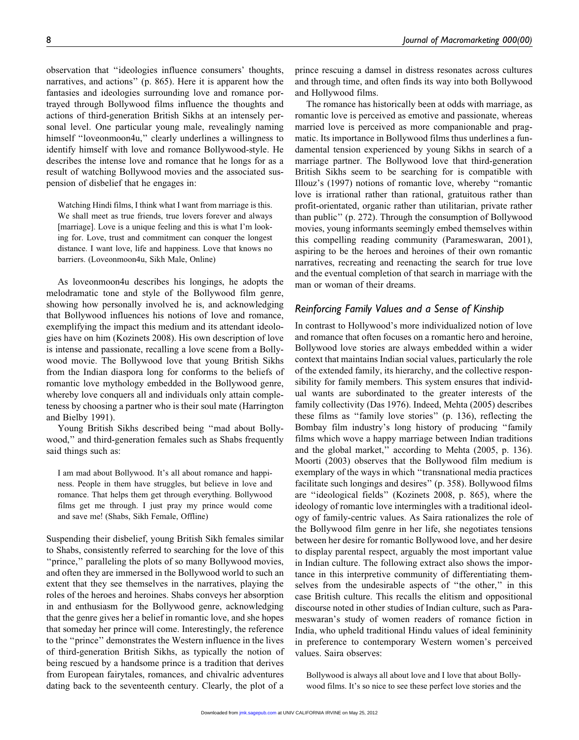observation that ''ideologies influence consumers' thoughts, narratives, and actions'' (p. 865). Here it is apparent how the fantasies and ideologies surrounding love and romance portrayed through Bollywood films influence the thoughts and actions of third-generation British Sikhs at an intensely personal level. One particular young male, revealingly naming himself "loveonmoon4u," clearly underlines a willingness to identify himself with love and romance Bollywood-style. He describes the intense love and romance that he longs for as a result of watching Bollywood movies and the associated suspension of disbelief that he engages in:

Watching Hindi films, I think what I want from marriage is this. We shall meet as true friends, true lovers forever and always [marriage]. Love is a unique feeling and this is what I'm looking for. Love, trust and commitment can conquer the longest distance. I want love, life and happiness. Love that knows no barriers. (Loveonmoon4u, Sikh Male, Online)

As loveonmoon4u describes his longings, he adopts the melodramatic tone and style of the Bollywood film genre, showing how personally involved he is, and acknowledging that Bollywood influences his notions of love and romance, exemplifying the impact this medium and its attendant ideologies have on him (Kozinets 2008). His own description of love is intense and passionate, recalling a love scene from a Bollywood movie. The Bollywood love that young British Sikhs from the Indian diaspora long for conforms to the beliefs of romantic love mythology embedded in the Bollywood genre, whereby love conquers all and individuals only attain completeness by choosing a partner who is their soul mate (Harrington and Bielby 1991).

Young British Sikhs described being ''mad about Bollywood,'' and third-generation females such as Shabs frequently said things such as:

I am mad about Bollywood. It's all about romance and happiness. People in them have struggles, but believe in love and romance. That helps them get through everything. Bollywood films get me through. I just pray my prince would come and save me! (Shabs, Sikh Female, Offline)

Suspending their disbelief, young British Sikh females similar to Shabs, consistently referred to searching for the love of this "prince," paralleling the plots of so many Bollywood movies, and often they are immersed in the Bollywood world to such an extent that they see themselves in the narratives, playing the roles of the heroes and heroines. Shabs conveys her absorption in and enthusiasm for the Bollywood genre, acknowledging that the genre gives her a belief in romantic love, and she hopes that someday her prince will come. Interestingly, the reference to the ''prince'' demonstrates the Western influence in the lives of third-generation British Sikhs, as typically the notion of being rescued by a handsome prince is a tradition that derives from European fairytales, romances, and chivalric adventures dating back to the seventeenth century. Clearly, the plot of a

prince rescuing a damsel in distress resonates across cultures and through time, and often finds its way into both Bollywood and Hollywood films.

The romance has historically been at odds with marriage, as romantic love is perceived as emotive and passionate, whereas married love is perceived as more companionable and pragmatic. Its importance in Bollywood films thus underlines a fundamental tension experienced by young Sikhs in search of a marriage partner. The Bollywood love that third-generation British Sikhs seem to be searching for is compatible with Illouz's (1997) notions of romantic love, whereby ''romantic love is irrational rather than rational, gratuitous rather than profit-orientated, organic rather than utilitarian, private rather than public'' (p. 272). Through the consumption of Bollywood movies, young informants seemingly embed themselves within this compelling reading community (Parameswaran, 2001), aspiring to be the heroes and heroines of their own romantic narratives, recreating and reenacting the search for true love and the eventual completion of that search in marriage with the man or woman of their dreams.

# Reinforcing Family Values and a Sense of Kinship

In contrast to Hollywood's more individualized notion of love and romance that often focuses on a romantic hero and heroine, Bollywood love stories are always embedded within a wider context that maintains Indian social values, particularly the role of the extended family, its hierarchy, and the collective responsibility for family members. This system ensures that individual wants are subordinated to the greater interests of the family collectivity (Das 1976). Indeed, Mehta (2005) describes these films as ''family love stories'' (p. 136), reflecting the Bombay film industry's long history of producing ''family films which wove a happy marriage between Indian traditions and the global market,'' according to Mehta (2005, p. 136). Moorti (2003) observes that the Bollywood film medium is exemplary of the ways in which ''transnational media practices facilitate such longings and desires'' (p. 358). Bollywood films are ''ideological fields'' (Kozinets 2008, p. 865), where the ideology of romantic love intermingles with a traditional ideology of family-centric values. As Saira rationalizes the role of the Bollywood film genre in her life, she negotiates tensions between her desire for romantic Bollywood love, and her desire to display parental respect, arguably the most important value in Indian culture. The following extract also shows the importance in this interpretive community of differentiating themselves from the undesirable aspects of "the other," in this case British culture. This recalls the elitism and oppositional discourse noted in other studies of Indian culture, such as Parameswaran's study of women readers of romance fiction in India, who upheld traditional Hindu values of ideal femininity in preference to contemporary Western women's perceived values. Saira observes:

Bollywood is always all about love and I love that about Bollywood films. It's so nice to see these perfect love stories and the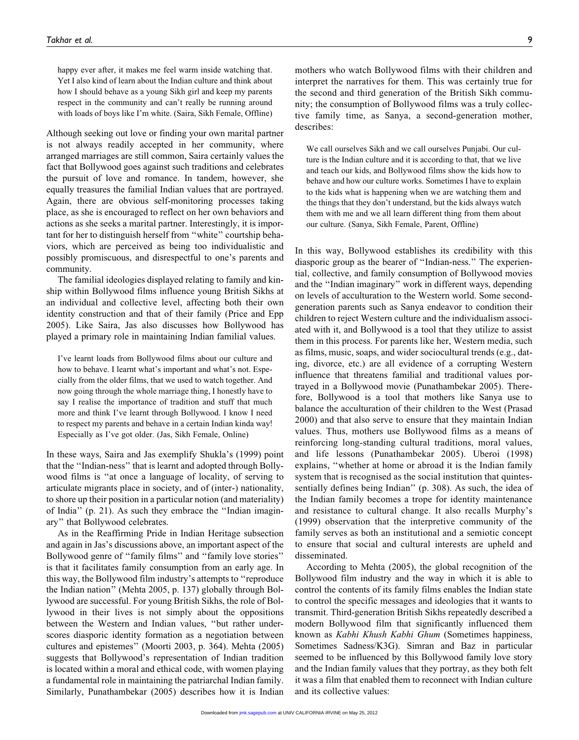happy ever after, it makes me feel warm inside watching that. Yet I also kind of learn about the Indian culture and think about how I should behave as a young Sikh girl and keep my parents respect in the community and can't really be running around with loads of boys like I'm white. (Saira, Sikh Female, Offline)

Although seeking out love or finding your own marital partner is not always readily accepted in her community, where arranged marriages are still common, Saira certainly values the fact that Bollywood goes against such traditions and celebrates the pursuit of love and romance. In tandem, however, she equally treasures the familial Indian values that are portrayed. Again, there are obvious self-monitoring processes taking place, as she is encouraged to reflect on her own behaviors and actions as she seeks a marital partner. Interestingly, it is important for her to distinguish herself from ''white'' courtship behaviors, which are perceived as being too individualistic and possibly promiscuous, and disrespectful to one's parents and community.

The familial ideologies displayed relating to family and kinship within Bollywood films influence young British Sikhs at an individual and collective level, affecting both their own identity construction and that of their family (Price and Epp 2005). Like Saira, Jas also discusses how Bollywood has played a primary role in maintaining Indian familial values.

I've learnt loads from Bollywood films about our culture and how to behave. I learnt what's important and what's not. Especially from the older films, that we used to watch together. And now going through the whole marriage thing, I honestly have to say I realise the importance of tradition and stuff that much more and think I've learnt through Bollywood. I know I need to respect my parents and behave in a certain Indian kinda way! Especially as I've got older. (Jas, Sikh Female, Online)

In these ways, Saira and Jas exemplify Shukla's (1999) point that the ''Indian-ness'' that is learnt and adopted through Bollywood films is ''at once a language of locality, of serving to articulate migrants place in society, and of (inter-) nationality, to shore up their position in a particular notion (and materiality) of India'' (p. 21). As such they embrace the ''Indian imaginary'' that Bollywood celebrates.

As in the Reaffirming Pride in Indian Heritage subsection and again in Jas's discussions above, an important aspect of the Bollywood genre of "family films" and "family love stories" is that it facilitates family consumption from an early age. In this way, the Bollywood film industry's attempts to ''reproduce the Indian nation'' (Mehta 2005, p. 137) globally through Bollywood are successful. For young British Sikhs, the role of Bollywood in their lives is not simply about the oppositions between the Western and Indian values, ''but rather underscores diasporic identity formation as a negotiation between cultures and epistemes'' (Moorti 2003, p. 364). Mehta (2005) suggests that Bollywood's representation of Indian tradition is located within a moral and ethical code, with women playing a fundamental role in maintaining the patriarchal Indian family. Similarly, Punathambekar (2005) describes how it is Indian mothers who watch Bollywood films with their children and interpret the narratives for them. This was certainly true for the second and third generation of the British Sikh community; the consumption of Bollywood films was a truly collective family time, as Sanya, a second-generation mother, describes:

We call ourselves Sikh and we call ourselves Punjabi. Our culture is the Indian culture and it is according to that, that we live and teach our kids, and Bollywood films show the kids how to behave and how our culture works. Sometimes I have to explain to the kids what is happening when we are watching them and the things that they don't understand, but the kids always watch them with me and we all learn different thing from them about our culture. (Sanya, Sikh Female, Parent, Offline)

In this way, Bollywood establishes its credibility with this diasporic group as the bearer of ''Indian-ness.'' The experiential, collective, and family consumption of Bollywood movies and the ''Indian imaginary'' work in different ways, depending on levels of acculturation to the Western world. Some secondgeneration parents such as Sanya endeavor to condition their children to reject Western culture and the individualism associated with it, and Bollywood is a tool that they utilize to assist them in this process. For parents like her, Western media, such as films, music, soaps, and wider sociocultural trends (e.g., dating, divorce, etc.) are all evidence of a corrupting Western influence that threatens familial and traditional values portrayed in a Bollywood movie (Punathambekar 2005). Therefore, Bollywood is a tool that mothers like Sanya use to balance the acculturation of their children to the West (Prasad 2000) and that also serve to ensure that they maintain Indian values. Thus, mothers use Bollywood films as a means of reinforcing long-standing cultural traditions, moral values, and life lessons (Punathambekar 2005). Uberoi (1998) explains, ''whether at home or abroad it is the Indian family system that is recognised as the social institution that quintessentially defines being Indian'' (p. 308). As such, the idea of the Indian family becomes a trope for identity maintenance and resistance to cultural change. It also recalls Murphy's (1999) observation that the interpretive community of the family serves as both an institutional and a semiotic concept to ensure that social and cultural interests are upheld and disseminated.

According to Mehta (2005), the global recognition of the Bollywood film industry and the way in which it is able to control the contents of its family films enables the Indian state to control the specific messages and ideologies that it wants to transmit. Third-generation British Sikhs repeatedly described a modern Bollywood film that significantly influenced them known as Kabhi Khush Kabhi Ghum (Sometimes happiness, Sometimes Sadness/K3G). Simran and Baz in particular seemed to be influenced by this Bollywood family love story and the Indian family values that they portray, as they both felt it was a film that enabled them to reconnect with Indian culture and its collective values: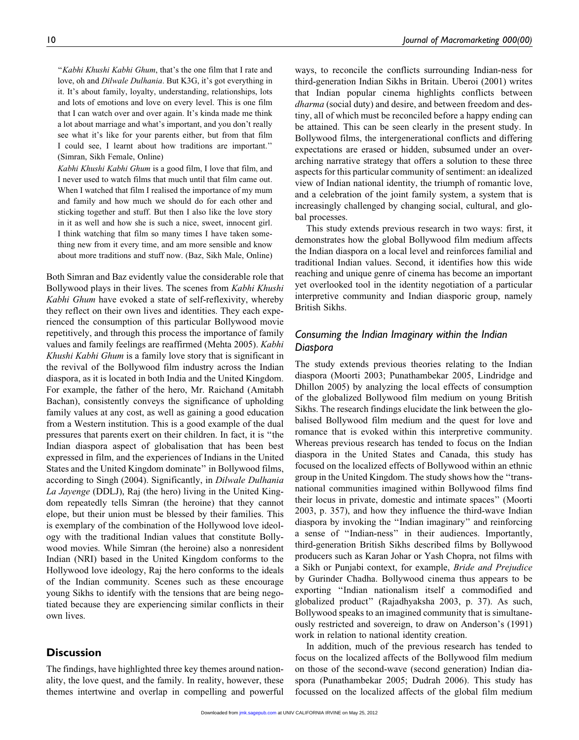"Kabhi Khushi Kabhi Ghum, that's the one film that I rate and love, oh and Dilwale Dulhania. But K3G, it's got everything in it. It's about family, loyalty, understanding, relationships, lots and lots of emotions and love on every level. This is one film that I can watch over and over again. It's kinda made me think a lot about marriage and what's important, and you don't really see what it's like for your parents either, but from that film I could see, I learnt about how traditions are important.'' (Simran, Sikh Female, Online)

Kabhi Khushi Kabhi Ghum is a good film, I love that film, and I never used to watch films that much until that film came out. When I watched that film I realised the importance of my mum and family and how much we should do for each other and sticking together and stuff. But then I also like the love story in it as well and how she is such a nice, sweet, innocent girl. I think watching that film so many times I have taken something new from it every time, and am more sensible and know about more traditions and stuff now. (Baz, Sikh Male, Online)

Both Simran and Baz evidently value the considerable role that Bollywood plays in their lives. The scenes from Kabhi Khushi Kabhi Ghum have evoked a state of self-reflexivity, whereby they reflect on their own lives and identities. They each experienced the consumption of this particular Bollywood movie repetitively, and through this process the importance of family values and family feelings are reaffirmed (Mehta 2005). Kabhi Khushi Kabhi Ghum is a family love story that is significant in the revival of the Bollywood film industry across the Indian diaspora, as it is located in both India and the United Kingdom. For example, the father of the hero, Mr. Raichand (Amitabh Bachan), consistently conveys the significance of upholding family values at any cost, as well as gaining a good education from a Western institution. This is a good example of the dual pressures that parents exert on their children. In fact, it is ''the Indian diaspora aspect of globalisation that has been best expressed in film, and the experiences of Indians in the United States and the United Kingdom dominate'' in Bollywood films, according to Singh (2004). Significantly, in Dilwale Dulhania La Jayenge (DDLJ), Raj (the hero) living in the United Kingdom repeatedly tells Simran (the heroine) that they cannot elope, but their union must be blessed by their families. This is exemplary of the combination of the Hollywood love ideology with the traditional Indian values that constitute Bollywood movies. While Simran (the heroine) also a nonresident Indian (NRI) based in the United Kingdom conforms to the Hollywood love ideology, Raj the hero conforms to the ideals of the Indian community. Scenes such as these encourage young Sikhs to identify with the tensions that are being negotiated because they are experiencing similar conflicts in their own lives.

# **Discussion**

The findings, have highlighted three key themes around nationality, the love quest, and the family. In reality, however, these themes intertwine and overlap in compelling and powerful

ways, to reconcile the conflicts surrounding Indian-ness for third-generation Indian Sikhs in Britain. Uberoi (2001) writes that Indian popular cinema highlights conflicts between dharma (social duty) and desire, and between freedom and destiny, all of which must be reconciled before a happy ending can be attained. This can be seen clearly in the present study. In Bollywood films, the intergenerational conflicts and differing expectations are erased or hidden, subsumed under an overarching narrative strategy that offers a solution to these three aspects for this particular community of sentiment: an idealized view of Indian national identity, the triumph of romantic love, and a celebration of the joint family system, a system that is increasingly challenged by changing social, cultural, and global processes.

This study extends previous research in two ways: first, it demonstrates how the global Bollywood film medium affects the Indian diaspora on a local level and reinforces familial and traditional Indian values. Second, it identifies how this wide reaching and unique genre of cinema has become an important yet overlooked tool in the identity negotiation of a particular interpretive community and Indian diasporic group, namely British Sikhs.

# Consuming the Indian Imaginary within the Indian Diaspora

The study extends previous theories relating to the Indian diaspora (Moorti 2003; Punathambekar 2005, Lindridge and Dhillon 2005) by analyzing the local effects of consumption of the globalized Bollywood film medium on young British Sikhs. The research findings elucidate the link between the globalised Bollywood film medium and the quest for love and romance that is evoked within this interpretive community. Whereas previous research has tended to focus on the Indian diaspora in the United States and Canada, this study has focused on the localized effects of Bollywood within an ethnic group in the United Kingdom. The study shows how the ''transnational communities imagined within Bollywood films find their locus in private, domestic and intimate spaces'' (Moorti 2003, p. 357), and how they influence the third-wave Indian diaspora by invoking the ''Indian imaginary'' and reinforcing a sense of ''Indian-ness'' in their audiences. Importantly, third-generation British Sikhs described films by Bollywood producers such as Karan Johar or Yash Chopra, not films with a Sikh or Punjabi context, for example, Bride and Prejudice by Gurinder Chadha. Bollywood cinema thus appears to be exporting ''Indian nationalism itself a commodified and globalized product'' (Rajadhyaksha 2003, p. 37). As such, Bollywood speaks to an imagined community that is simultaneously restricted and sovereign, to draw on Anderson's (1991) work in relation to national identity creation.

In addition, much of the previous research has tended to focus on the localized affects of the Bollywood film medium on those of the second-wave (second generation) Indian diaspora (Punathambekar 2005; Dudrah 2006). This study has focussed on the localized affects of the global film medium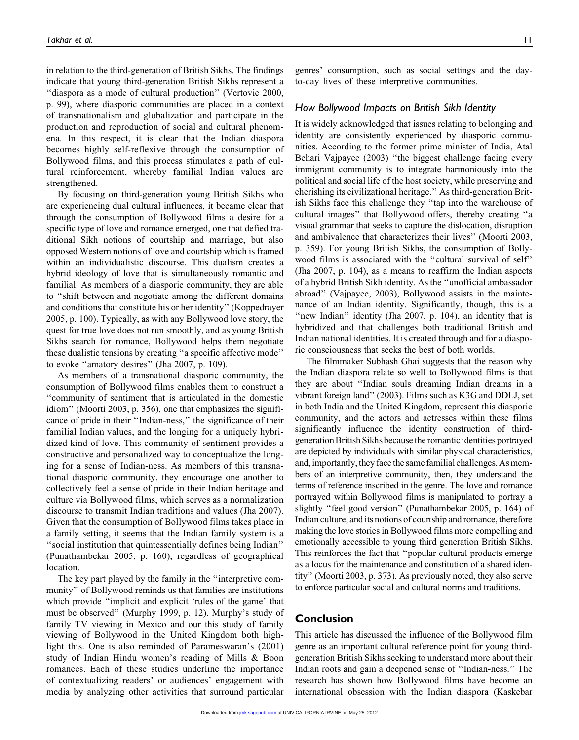in relation to the third-generation of British Sikhs. The findings indicate that young third-generation British Sikhs represent a "diaspora as a mode of cultural production" (Vertovic 2000, p. 99), where diasporic communities are placed in a context of transnationalism and globalization and participate in the production and reproduction of social and cultural phenomena. In this respect, it is clear that the Indian diaspora becomes highly self-reflexive through the consumption of Bollywood films, and this process stimulates a path of cultural reinforcement, whereby familial Indian values are strengthened.

By focusing on third-generation young British Sikhs who are experiencing dual cultural influences, it became clear that through the consumption of Bollywood films a desire for a specific type of love and romance emerged, one that defied traditional Sikh notions of courtship and marriage, but also opposed Western notions of love and courtship which is framed within an individualistic discourse. This dualism creates a hybrid ideology of love that is simultaneously romantic and familial. As members of a diasporic community, they are able to ''shift between and negotiate among the different domains and conditions that constitute his or her identity'' (Koppedrayer 2005, p. 100). Typically, as with any Bollywood love story, the quest for true love does not run smoothly, and as young British Sikhs search for romance, Bollywood helps them negotiate these dualistic tensions by creating ''a specific affective mode'' to evoke ''amatory desires'' (Jha 2007, p. 109).

As members of a transnational diasporic community, the consumption of Bollywood films enables them to construct a ''community of sentiment that is articulated in the domestic idiom'' (Moorti 2003, p. 356), one that emphasizes the significance of pride in their ''Indian-ness,'' the significance of their familial Indian values, and the longing for a uniquely hybridized kind of love. This community of sentiment provides a constructive and personalized way to conceptualize the longing for a sense of Indian-ness. As members of this transnational diasporic community, they encourage one another to collectively feel a sense of pride in their Indian heritage and culture via Bollywood films, which serves as a normalization discourse to transmit Indian traditions and values (Jha 2007). Given that the consumption of Bollywood films takes place in a family setting, it seems that the Indian family system is a ''social institution that quintessentially defines being Indian'' (Punathambekar 2005, p. 160), regardless of geographical location.

The key part played by the family in the ''interpretive community'' of Bollywood reminds us that families are institutions which provide "implicit and explicit 'rules of the game' that must be observed'' (Murphy 1999, p. 12). Murphy's study of family TV viewing in Mexico and our this study of family viewing of Bollywood in the United Kingdom both highlight this. One is also reminded of Parameswaran's (2001) study of Indian Hindu women's reading of Mills & Boon romances. Each of these studies underline the importance of contextualizing readers' or audiences' engagement with media by analyzing other activities that surround particular genres' consumption, such as social settings and the dayto-day lives of these interpretive communities.

#### How Bollywood Impacts on British Sikh Identity

It is widely acknowledged that issues relating to belonging and identity are consistently experienced by diasporic communities. According to the former prime minister of India, Atal Behari Vajpayee (2003) ''the biggest challenge facing every immigrant community is to integrate harmoniously into the political and social life of the host society, while preserving and cherishing its civilizational heritage.'' As third-generation British Sikhs face this challenge they ''tap into the warehouse of cultural images'' that Bollywood offers, thereby creating ''a visual grammar that seeks to capture the dislocation, disruption and ambivalence that characterizes their lives'' (Moorti 2003, p. 359). For young British Sikhs, the consumption of Bollywood films is associated with the ''cultural survival of self'' (Jha 2007, p. 104), as a means to reaffirm the Indian aspects of a hybrid British Sikh identity. As the ''unofficial ambassador abroad'' (Vajpayee, 2003), Bollywood assists in the maintenance of an Indian identity. Significantly, though, this is a "new Indian" identity (Jha 2007, p. 104), an identity that is hybridized and that challenges both traditional British and Indian national identities. It is created through and for a diasporic consciousness that seeks the best of both worlds.

The filmmaker Subhash Ghai suggests that the reason why the Indian diaspora relate so well to Bollywood films is that they are about ''Indian souls dreaming Indian dreams in a vibrant foreign land'' (2003). Films such as K3G and DDLJ, set in both India and the United Kingdom, represent this diasporic community, and the actors and actresses within these films significantly influence the identity construction of thirdgeneration British Sikhs because the romantic identities portrayed are depicted by individuals with similar physical characteristics, and, importantly, they face the same familial challenges. As members of an interpretive community, then, they understand the terms of reference inscribed in the genre. The love and romance portrayed within Bollywood films is manipulated to portray a slightly ''feel good version'' (Punathambekar 2005, p. 164) of Indian culture, and its notions of courtship and romance, therefore making the love stories in Bollywood films more compelling and emotionally accessible to young third generation British Sikhs. This reinforces the fact that ''popular cultural products emerge as a locus for the maintenance and constitution of a shared identity'' (Moorti 2003, p. 373). As previously noted, they also serve to enforce particular social and cultural norms and traditions.

#### Conclusion

This article has discussed the influence of the Bollywood film genre as an important cultural reference point for young thirdgeneration British Sikhs seeking to understand more about their Indian roots and gain a deepened sense of ''Indian-ness.'' The research has shown how Bollywood films have become an international obsession with the Indian diaspora (Kaskebar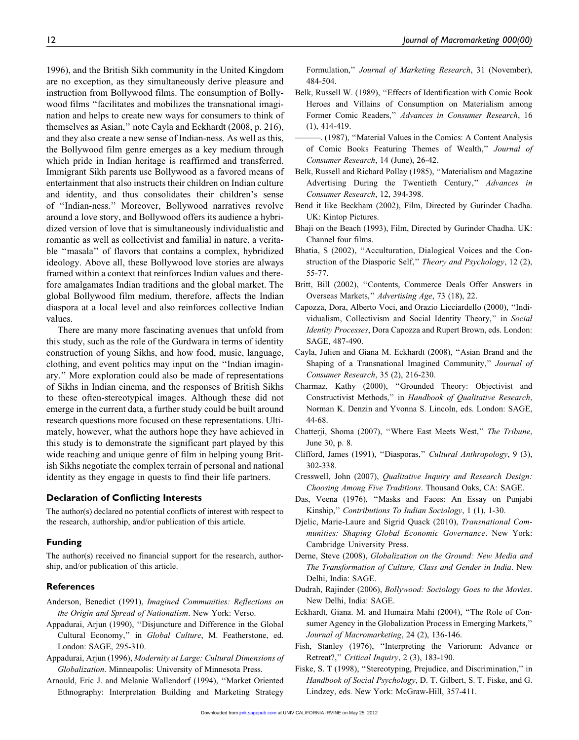1996), and the British Sikh community in the United Kingdom are no exception, as they simultaneously derive pleasure and instruction from Bollywood films. The consumption of Bollywood films ''facilitates and mobilizes the transnational imagination and helps to create new ways for consumers to think of themselves as Asian,'' note Cayla and Eckhardt (2008, p. 216), and they also create a new sense of Indian-ness. As well as this, the Bollywood film genre emerges as a key medium through which pride in Indian heritage is reaffirmed and transferred. Immigrant Sikh parents use Bollywood as a favored means of entertainment that also instructs their children on Indian culture and identity, and thus consolidates their children's sense of ''Indian-ness.'' Moreover, Bollywood narratives revolve around a love story, and Bollywood offers its audience a hybridized version of love that is simultaneously individualistic and romantic as well as collectivist and familial in nature, a veritable ''masala'' of flavors that contains a complex, hybridized ideology. Above all, these Bollywood love stories are always framed within a context that reinforces Indian values and therefore amalgamates Indian traditions and the global market. The global Bollywood film medium, therefore, affects the Indian diaspora at a local level and also reinforces collective Indian values.

There are many more fascinating avenues that unfold from this study, such as the role of the Gurdwara in terms of identity construction of young Sikhs, and how food, music, language, clothing, and event politics may input on the ''Indian imaginary.'' More exploration could also be made of representations of Sikhs in Indian cinema, and the responses of British Sikhs to these often-stereotypical images. Although these did not emerge in the current data, a further study could be built around research questions more focused on these representations. Ultimately, however, what the authors hope they have achieved in this study is to demonstrate the significant part played by this wide reaching and unique genre of film in helping young British Sikhs negotiate the complex terrain of personal and national identity as they engage in quests to find their life partners.

#### Declaration of Conflicting Interests

The author(s) declared no potential conflicts of interest with respect to the research, authorship, and/or publication of this article.

#### Funding

The author(s) received no financial support for the research, authorship, and/or publication of this article.

#### **References**

Anderson, Benedict (1991), Imagined Communities: Reflections on the Origin and Spread of Nationalism. New York: Verso.

- Appadurai, Arjun (1990), ''Disjuncture and Difference in the Global Cultural Economy,'' in Global Culture, M. Featherstone, ed. London: SAGE, 295-310.
- Appadurai, Arjun (1996), Modernity at Large: Cultural Dimensions of Globalization. Minneapolis: University of Minnesota Press.
- Arnould, Eric J. and Melanie Wallendorf (1994), ''Market Oriented Ethnography: Interpretation Building and Marketing Strategy

Formulation," Journal of Marketing Research, 31 (November), 484-504.

- Belk, Russell W. (1989), ''Effects of Identification with Comic Book Heroes and Villains of Consumption on Materialism among Former Comic Readers," Advances in Consumer Research, 16 (1), 414-419.
- ———. (1987), ''Material Values in the Comics: A Content Analysis of Comic Books Featuring Themes of Wealth," Journal of Consumer Research, 14 (June), 26-42.
- Belk, Russell and Richard Pollay (1985), ''Materialism and Magazine Advertising During the Twentieth Century," Advances in Consumer Research, 12, 394-398.
- Bend it like Beckham (2002), Film, Directed by Gurinder Chadha. UK: Kintop Pictures.
- Bhaji on the Beach (1993), Film, Directed by Gurinder Chadha. UK: Channel four films.
- Bhatia, S (2002), ''Acculturation, Dialogical Voices and the Construction of the Diasporic Self," Theory and Psychology, 12 (2), 55-77.
- Britt, Bill (2002), ''Contents, Commerce Deals Offer Answers in Overseas Markets,'' Advertising Age, 73 (18), 22.
- Capozza, Dora, Alberto Voci, and Orazio Licciardello (2000), ''Individualism, Collectivism and Social Identity Theory," in Social Identity Processes, Dora Capozza and Rupert Brown, eds. London: SAGE, 487-490.
- Cayla, Julien and Giana M. Eckhardt (2008), ''Asian Brand and the Shaping of a Transnational Imagined Community," Journal of Consumer Research, 35 (2), 216-230.
- Charmaz, Kathy (2000), ''Grounded Theory: Objectivist and Constructivist Methods,'' in Handbook of Qualitative Research, Norman K. Denzin and Yvonna S. Lincoln, eds. London: SAGE, 44-68.
- Chatterji, Shoma (2007), ''Where East Meets West,'' The Tribune, June 30, p. 8.
- Clifford, James (1991), ''Diasporas,'' Cultural Anthropology, 9 (3), 302-338.
- Cresswell, John (2007), Qualitative Inquiry and Research Design: Choosing Among Five Traditions. Thousand Oaks, CA: SAGE.
- Das, Veena (1976), ''Masks and Faces: An Essay on Punjabi Kinship,'' Contributions To Indian Sociology, 1 (1), 1-30.
- Djelic, Marie-Laure and Sigrid Quack (2010), Transnational Communities: Shaping Global Economic Governance. New York: Cambridge University Press.
- Derne, Steve (2008), Globalization on the Ground: New Media and The Transformation of Culture, Class and Gender in India. New Delhi, India: SAGE.
- Dudrah, Rajinder (2006), Bollywood: Sociology Goes to the Movies. New Delhi, India: SAGE.
- Eckhardt, Giana. M. and Humaira Mahi (2004), ''The Role of Consumer Agency in the Globalization Process in Emerging Markets,'' Journal of Macromarketing, 24 (2), 136-146.
- Fish, Stanley (1976), ''Interpreting the Variorum: Advance or Retreat?,'' Critical Inquiry, 2 (3), 183-190.
- Fiske, S. T (1998), ''Stereotyping, Prejudice, and Discrimination,'' in Handbook of Social Psychology, D. T. Gilbert, S. T. Fiske, and G. Lindzey, eds. New York: McGraw-Hill, 357-411.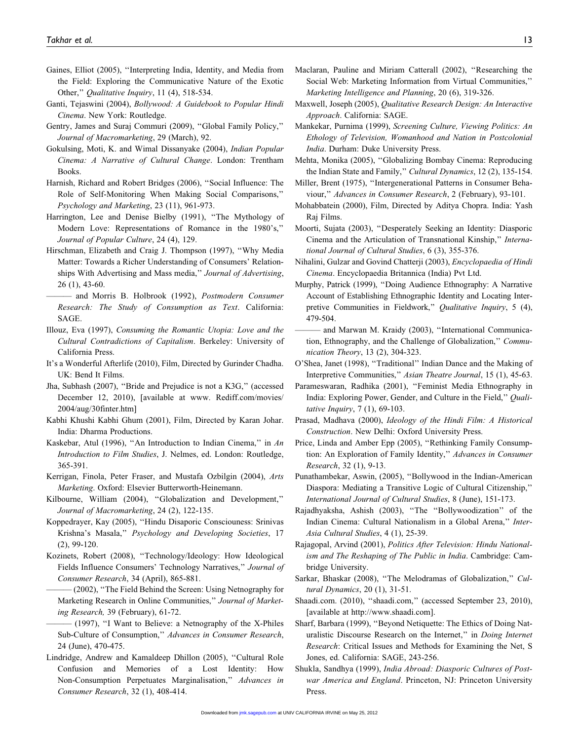- Gaines, Elliot (2005), ''Interpreting India, Identity, and Media from the Field: Exploring the Communicative Nature of the Exotic Other,'' Qualitative Inquiry, 11 (4), 518-534.
- Ganti, Tejaswini (2004), Bollywood: A Guidebook to Popular Hindi Cinema. New York: Routledge.
- Gentry, James and Suraj Commuri (2009), ''Global Family Policy,'' Journal of Macromarketing, 29 (March), 92.
- Gokulsing, Moti, K. and Wimal Dissanyake (2004), Indian Popular Cinema: A Narrative of Cultural Change. London: Trentham Books.
- Harnish, Richard and Robert Bridges (2006), ''Social Influence: The Role of Self-Monitoring When Making Social Comparisons,'' Psychology and Marketing, 23 (11), 961-973.
- Harrington, Lee and Denise Bielby (1991), "The Mythology of Modern Love: Representations of Romance in the 1980's,'' Journal of Popular Culture, 24 (4), 129.
- Hirschman, Elizabeth and Craig J. Thompson (1997), ''Why Media Matter: Towards a Richer Understanding of Consumers' Relationships With Advertising and Mass media,'' Journal of Advertising, 26 (1), 43-60.
- and Morris B. Holbrook (1992), Postmodern Consumer Research: The Study of Consumption as Text. California: SAGE.
- Illouz, Eva (1997), Consuming the Romantic Utopia: Love and the Cultural Contradictions of Capitalism. Berkeley: University of California Press.
- It's a Wonderful Afterlife (2010), Film, Directed by Gurinder Chadha. UK: Bend It Films.
- Jha, Subhash (2007), ''Bride and Prejudice is not a K3G,'' (accessed December 12, 2010), [available at www. Rediff.com/movies/ 2004/aug/30finter.htm]
- Kabhi Khushi Kabhi Ghum (2001), Film, Directed by Karan Johar. India: Dharma Productions.
- Kaskebar, Atul (1996), "An Introduction to Indian Cinema," in An Introduction to Film Studies, J. Nelmes, ed. London: Routledge, 365-391.
- Kerrigan, Finola, Peter Fraser, and Mustafa Ozbilgin (2004), Arts Marketing. Oxford: Elsevier Butterworth-Heinemann.
- Kilbourne, William (2004), ''Globalization and Development,'' Journal of Macromarketing, 24 (2), 122-135.
- Koppedrayer, Kay (2005), ''Hindu Disaporic Consciouness: Srinivas Krishna's Masala,'' Psychology and Developing Societies, 17 (2), 99-120.
- Kozinets, Robert (2008), ''Technology/Ideology: How Ideological Fields Influence Consumers' Technology Narratives,'' Journal of Consumer Research, 34 (April), 865-881.
- (2002), "The Field Behind the Screen: Using Netnography for Marketing Research in Online Communities," Journal of Marketing Research, 39 (February), 61-72.
- $(1997)$ , "I Want to Believe: a Netnography of the X-Philes Sub-Culture of Consumption," Advances in Consumer Research, 24 (June), 470-475.
- Lindridge, Andrew and Kamaldeep Dhillon (2005), ''Cultural Role Confusion and Memories of a Lost Identity: How Non-Consumption Perpetuates Marginalisation,'' Advances in Consumer Research, 32 (1), 408-414.
- Maclaran, Pauline and Miriam Catterall (2002), ''Researching the Social Web: Marketing Information from Virtual Communities,'' Marketing Intelligence and Planning, 20 (6), 319-326.
- Maxwell, Joseph (2005), Qualitative Research Design: An Interactive Approach. California: SAGE.
- Mankekar, Purnima (1999), Screening Culture, Viewing Politics: An Ethology of Television, Womanhood and Nation in Postcolonial India. Durham: Duke University Press.
- Mehta, Monika (2005), ''Globalizing Bombay Cinema: Reproducing the Indian State and Family," Cultural Dynamics, 12 (2), 135-154.
- Miller, Brent (1975), ''Intergenerational Patterns in Consumer Behaviour," Advances in Consumer Research, 2 (February), 93-101.
- Mohabbatein (2000), Film, Directed by Aditya Chopra. India: Yash Raj Films.
- Moorti, Sujata (2003), ''Desperately Seeking an Identity: Diasporic Cinema and the Articulation of Transnational Kinship,'' International Journal of Cultural Studies, 6 (3), 355-376.
- Nihalini, Gulzar and Govind Chatterji (2003), Encyclopaedia of Hindi Cinema. Encyclopaedia Britannica (India) Pvt Ltd.
- Murphy, Patrick (1999), ''Doing Audience Ethnography: A Narrative Account of Establishing Ethnographic Identity and Locating Interpretive Communities in Fieldwork," Qualitative Inquiry, 5 (4), 479-504.
- and Marwan M. Kraidy (2003), "International Communication, Ethnography, and the Challenge of Globalization," Communication Theory, 13 (2), 304-323.
- O'Shea, Janet (1998), ''Traditional'' Indian Dance and the Making of Interpretive Communities,'' Asian Theatre Journal, 15 (1), 45-63.
- Parameswaran, Radhika (2001), ''Feminist Media Ethnography in India: Exploring Power, Gender, and Culture in the Field,'' Qualitative Inquiry,  $7(1)$ , 69-103.
- Prasad, Madhava (2000), Ideology of the Hindi Film: A Historical Construction. New Delhi: Oxford University Press.
- Price, Linda and Amber Epp (2005), ''Rethinking Family Consumption: An Exploration of Family Identity," Advances in Consumer Research, 32 (1), 9-13.
- Punathambekar, Aswin, (2005), ''Bollywood in the Indian-American Diaspora: Mediating a Transitive Logic of Cultural Citizenship,'' International Journal of Cultural Studies, 8 (June), 151-173.
- Rajadhyaksha, Ashish (2003), ''The ''Bollywoodization'' of the Indian Cinema: Cultural Nationalism in a Global Arena,'' Inter-Asia Cultural Studies, 4 (1), 25-39.
- Rajagopal, Arvind (2001), Politics After Television: Hindu Nationalism and The Reshaping of The Public in India. Cambridge: Cambridge University.
- Sarkar, Bhaskar (2008), "The Melodramas of Globalization," Cultural Dynamics, 20 (1), 31-51.
- Shaadi.com. (2010), ''shaadi.com,'' (accessed September 23, 2010), [available at http://www.shaadi.com].
- Sharf, Barbara (1999), ''Beyond Netiquette: The Ethics of Doing Naturalistic Discourse Research on the Internet," in Doing Internet Research: Critical Issues and Methods for Examining the Net, S Jones, ed. California: SAGE, 243-256.
- Shukla, Sandhya (1999), India Abroad: Diasporic Cultures of Postwar America and England. Princeton, NJ: Princeton University Press.